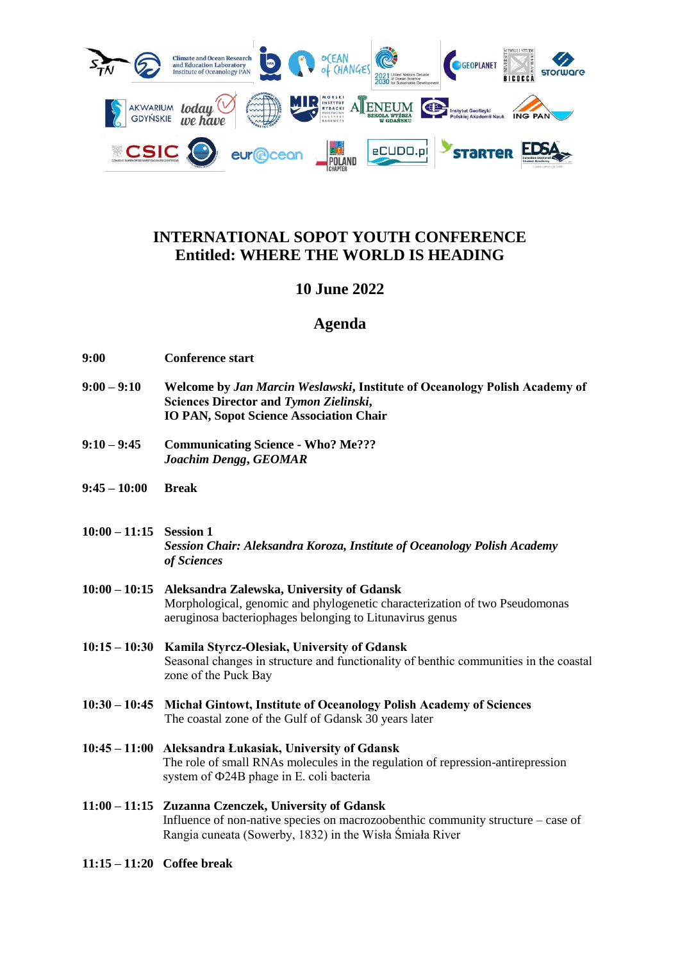

## **INTERNATIONAL SOPOT YOUTH CONFERENCE Entitled: WHERE THE WORLD IS HEADING**

## **10 June 2022**

## **Agenda**

- **9:00 Conference start**
- **9:00 – 9:10 Welcome by** *Jan Marcin Weslawski***, Institute of Oceanology Polish Academy of Sciences Director and** *Tymon Zielinski***, IO PAN, Sopot Science Association Chair**
- **9:10 – 9:45 Communicating Science - Who? Me???** *Joachim Dengg***,** *GEOMAR*
- **9:45 – 10:00 Break**
- **10:00 – 11:15 Session 1** *Session Chair: Aleksandra Koroza, Institute of Oceanology Polish Academy of Sciences*
- **10:00 – 10:15 Aleksandra Zalewska, University of Gdansk** Morphological, genomic and phylogenetic characterization of two Pseudomonas aeruginosa bacteriophages belonging to Litunavirus genus
- **10:15 – 10:30 Kamila Styrcz-Olesiak, University of Gdansk** Seasonal changes in structure and functionality of benthic communities in the coastal zone of the Puck Bay
- **10:30 – 10:45 Michał Gintowt, Institute of Oceanology Polish Academy of Sciences** The coastal zone of the Gulf of Gdansk 30 years later
- **10:45 – 11:00 Aleksandra Łukasiak, University of Gdansk** The role of small RNAs molecules in the regulation of repression-antirepression system of Ф24B phage in E. coli bacteria
- **11:00 – 11:15 Zuzanna Czenczek, University of Gdansk** Influence of non-native species on macrozoobenthic community structure – case of Rangia cuneata (Sowerby, 1832) in the Wisła Śmiała River
- **11:15 – 11:20 Coffee break**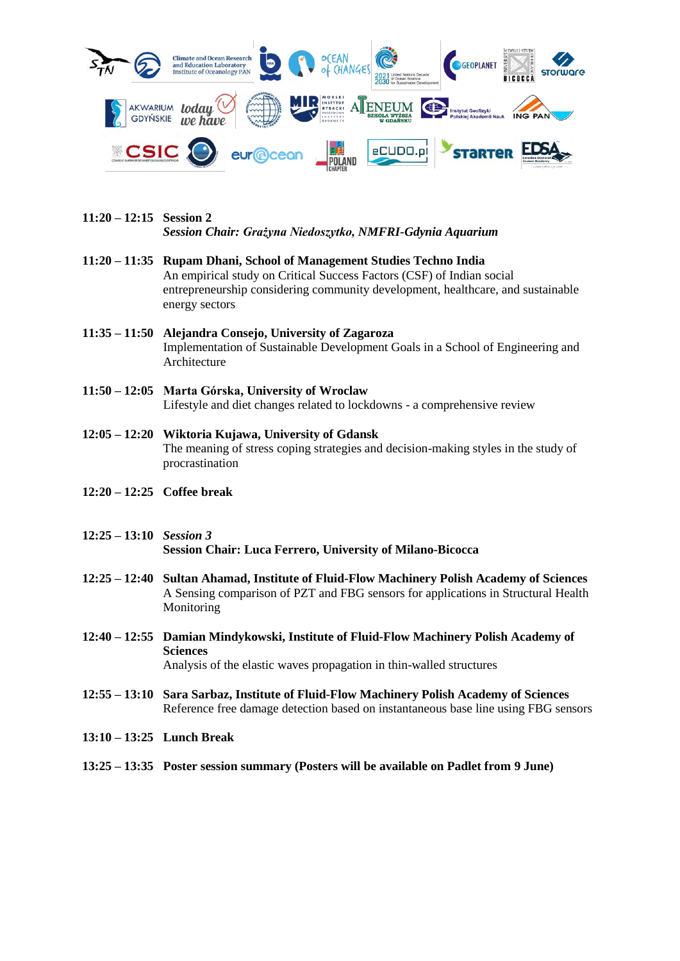

- **11:20 – 12:15 Session 2** *Session Chair: Grażyna Niedoszytko, NMFRI-Gdynia Aquarium*
- **11:20 – 11:35 Rupam Dhani, School of Management Studies Techno India** An empirical study on Critical Success Factors (CSF) of Indian social entrepreneurship considering community development, healthcare, and sustainable energy sectors
- **11:35 – 11:50 Alejandra Consejo, University of Zagaroza** Implementation of Sustainable Development Goals in a School of Engineering and Architecture
- **11:50 – 12:05 Marta Górska, University of Wroclaw** Lifestyle and diet changes related to lockdowns - a comprehensive review
- **12:05 – 12:20 Wiktoria Kujawa, University of Gdansk** The meaning of stress coping strategies and decision-making styles in the study of procrastination
- **12:20 – 12:25 Coffee break**
- **12:25 – 13:10** *Session 3* **Session Chair: Luca Ferrero, University of Milano-Bicocca**
- **12:25 – 12:40 Sultan Ahamad, Institute of Fluid-Flow Machinery Polish Academy of Sciences** A Sensing comparison of PZT and FBG sensors for applications in Structural Health Monitoring
- **12:40 – 12:55 Damian Mindykowski, Institute of Fluid-Flow Machinery Polish Academy of Sciences** Analysis of the elastic waves propagation in thin-walled structures
- **12:55 – 13:10 Sara Sarbaz, Institute of Fluid-Flow Machinery Polish Academy of Sciences** Reference free damage detection based on instantaneous base line using FBG sensors
- **13:10 – 13:25 Lunch Break**
- **13:25 – 13:35 Poster session summary (Posters will be available on Padlet from 9 June)**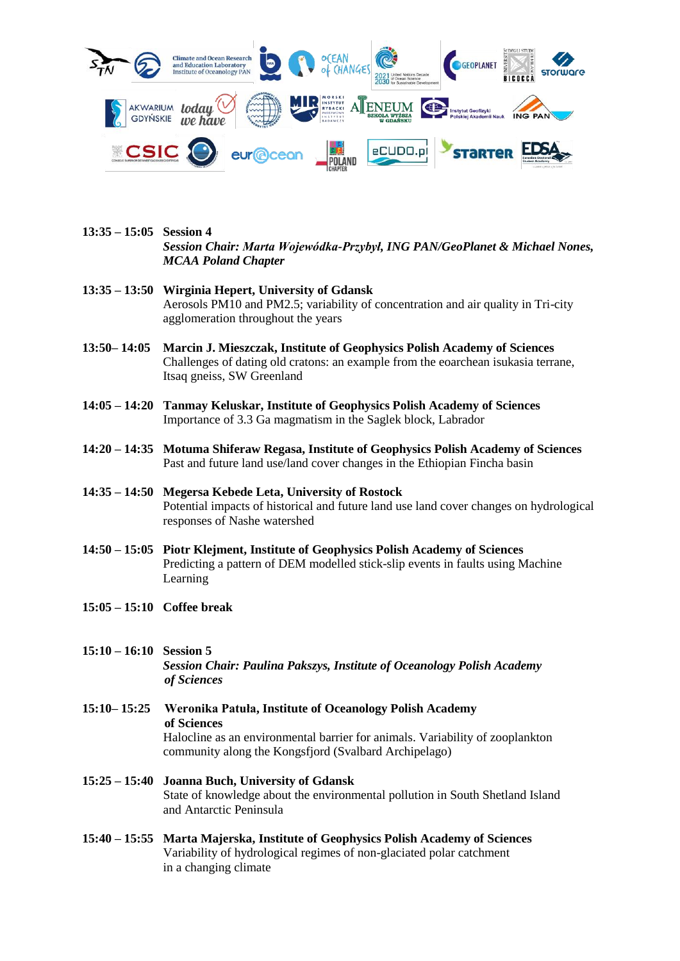

- **13:35 – 15:05 Session 4** *Session Chair: Marta Wojewódka-Przybył, ING PAN/GeoPlanet & Michael Nones, MCAA Poland Chapter*
- **13:35 – 13:50 Wirginia Hepert, University of Gdansk** Aerosols PM10 and PM2.5; variability of concentration and air quality in Tri-city agglomeration throughout the years
- **13:50– 14:05 Marcin J. Mieszczak, Institute of Geophysics Polish Academy of Sciences** Challenges of dating old cratons: an example from the eoarchean isukasia terrane, Itsaq gneiss, SW Greenland
- **14:05 – 14:20 Tanmay Keluskar, Institute of Geophysics Polish Academy of Sciences** Importance of 3.3 Ga magmatism in the Saglek block, Labrador
- **14:20 – 14:35 Motuma Shiferaw Regasa, Institute of Geophysics Polish Academy of Sciences** Past and future land use/land cover changes in the Ethiopian Fincha basin
- **14:35 – 14:50 Megersa Kebede Leta, University of Rostock** Potential impacts of historical and future land use land cover changes on hydrological responses of Nashe watershed
- **14:50 – 15:05 Piotr Klejment, Institute of Geophysics Polish Academy of Sciences** Predicting a pattern of DEM modelled stick-slip events in faults using Machine Learning
- **15:05 – 15:10 Coffee break**

**15:10 – 16:10 Session 5** *Session Chair: Paulina Pakszys, Institute of Oceanology Polish Academy of Sciences*

**15:10– 15:25 Weronika Patuła, Institute of Oceanology Polish Academy of Sciences** Halocline as an environmental barrier for animals. Variability of zooplankton community along the Kongsfjord (Svalbard Archipelago)

- **15:25 – 15:40 Joanna Buch, University of Gdansk** State of knowledge about the environmental pollution in South Shetland Island and Antarctic Peninsula
- **15:40 – 15:55 Marta Majerska, Institute of Geophysics Polish Academy of Sciences** Variability of hydrological regimes of non-glaciated polar catchment in a changing climate